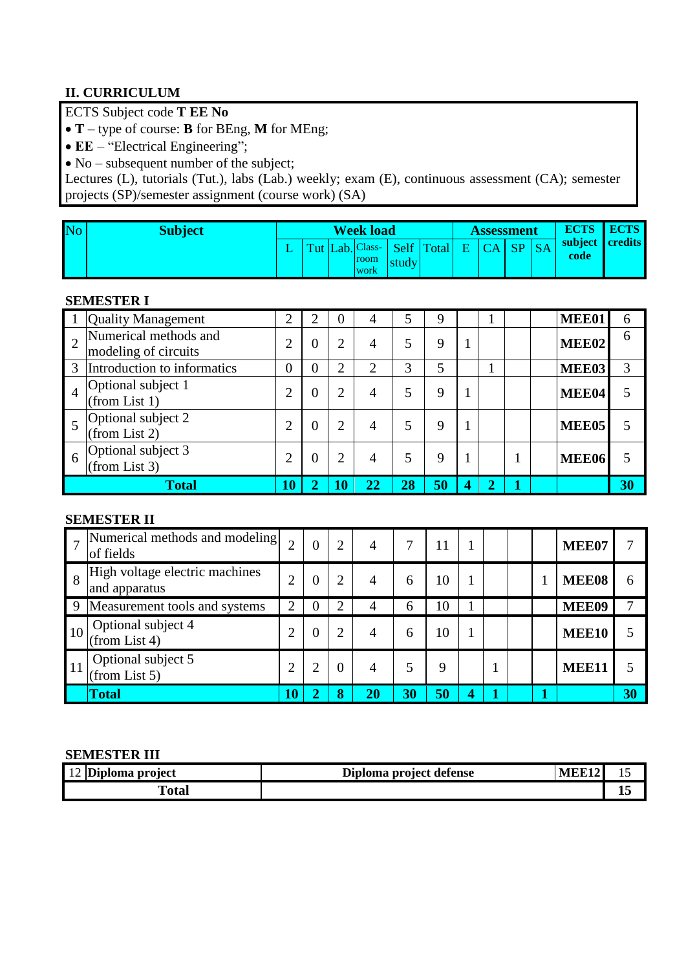# **II. CURRICULUM**

ECTS Subject code **T EE No**

**T** – type of course: **B** for BEng, **M** for MEng;

• **EE** – "Electrical Engineering";

 $\bullet$  No – subsequent number of the subject;

Lectures (L), tutorials (Tut.), labs (Lab.) weekly; exam (E), continuous assessment (CA); semester projects (SP)/semester assignment (course work) (SA)

| No | Subject |  | <b>Week load</b><br><b>Assessment</b> |                     |       |                            | <b>ECTS</b> | <b>ECTS</b> |           |      |                 |
|----|---------|--|---------------------------------------|---------------------|-------|----------------------------|-------------|-------------|-----------|------|-----------------|
|    |         |  |                                       | room<br><b>WOrk</b> | studv | Lab. Class-   Self   Total | E.          |             | <b>SP</b> | code | subject credits |

### **SEMESTER I**

|                | <b>Quality Management</b>                     | ⌒  | $\overline{2}$ | $\Omega$ | 4  | 5  | 9  |   |  | MEE01             | 6  |
|----------------|-----------------------------------------------|----|----------------|----------|----|----|----|---|--|-------------------|----|
|                | Numerical methods and<br>modeling of circuits |    | 0              | ◠        | 4  | 5  | 9  |   |  | MEE02             | 6  |
| 3              | Introduction to informatics                   | 0  | 0              | ∍        | ↑  | 3  | 5  |   |  | <b>MEE03</b>      | 3  |
| $\overline{4}$ | Optional subject 1<br>(from List 1)           |    | $\overline{0}$ | ◠        | 4  | 5  | 9  |   |  | MEE04             | 5  |
|                | Optional subject 2<br>(from List 2)           |    | 0              | 2        | 4  | 5  | 9  |   |  | MEE <sub>05</sub> |    |
| -6             | Optional subject 3<br>(from List 3)           |    | $\overline{0}$ | 2        | 4  | 5  | 9  |   |  | <b>MEE06</b>      | 5  |
|                | <b>Total</b>                                  | 10 |                | LO       | 22 | 28 | 50 | ◠ |  |                   | 30 |

#### **SEMESTER II**

|    | Numerical methods and modeling<br>of fields     | $\mathcal{D}$ | $\overline{0}$ |   | 4  | 7  | 11 |   |  | MEE07 |    |
|----|-------------------------------------------------|---------------|----------------|---|----|----|----|---|--|-------|----|
| 8  | High voltage electric machines<br>and apparatus | ◠             | $\theta$       |   | 4  | 6  | 10 |   |  | MEE08 | 6  |
| 9  | Measurement tools and systems                   | ↑             | O              |   | 4  | 6  | 10 |   |  | MEE09 |    |
| 10 | Optional subject 4<br>(from List 4)             | ◠             | $\overline{0}$ |   | 4  | 6  | 10 |   |  | MEE10 |    |
| 11 | Optional subject 5<br>(from List 5)             | ◠             | າ              | 0 | 4  | 5  | 9  |   |  | MEE11 |    |
|    | Total                                           |               | ◠              |   | 20 | 30 | 50 | 4 |  |       | 30 |

#### **SEMESTER III**

| $\sqrt{1}$<br>$\sim$<br>project<br>ama<br>лоша<br> U <br>$\overline{\phantom{0}}$ | T.<br>a project defense-<br>nm n<br>וו | ------<br>м |  |
|-----------------------------------------------------------------------------------|----------------------------------------|-------------|--|
| гT<br>∩f∩<br><b>Uld.</b>                                                          |                                        |             |  |